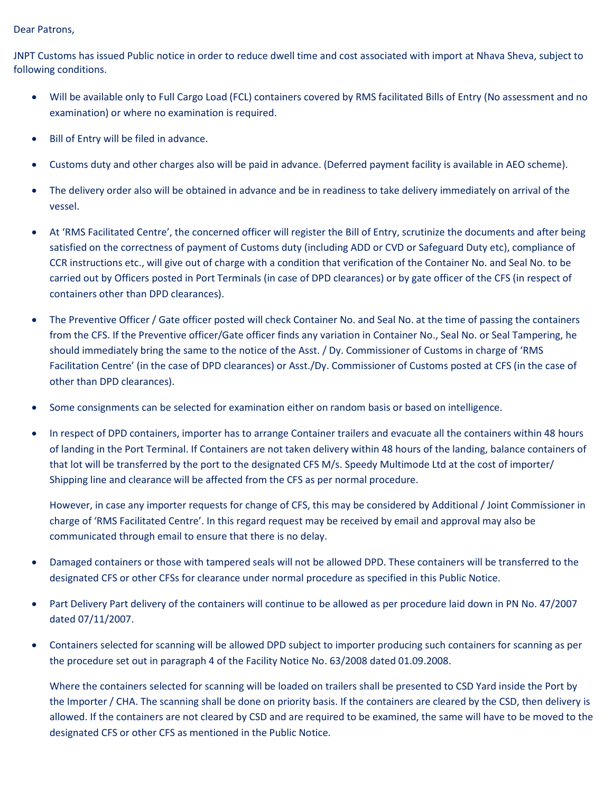## Dear Patrons,

JNPT Customs has issued Public notice in order to reduce dwell time and cost associated with import at Nhava Sheva, subject to following conditions.

- Will be available only to Full Cargo Load (FCL) containers covered by RMS facilitated Bills of Entry (No assessment and no examination) or where no examination is required.
- Bill of Entry will be filed in advance.
- Customs duty and other charges also will be paid in advance. (Deferred payment facility is available in AEO scheme).
- The delivery order also will be obtained in advance and be in readiness to take delivery immediately on arrival of the vessel.
- At 'RMS Facilitated Centre', the concerned officer will register the Bill of Entry, scrutinize the documents and after being satisfied on the correctness of payment of Customs duty (including ADD or CVD or Safeguard Duty etc), compliance of CCR instructions etc., will give out of charge with a condition that verification of the Container No. and Seal No. to be carried out by Officers posted in Port Terminals (in case of DPD clearances) or by gate officer of the CFS (in respect of containers other than DPD clearances).
- The Preventive Officer / Gate officer posted will check Container No. and Seal No. at the time of passing the containers from the CFS. If the Preventive officer/Gate officer finds any variation in Container No., Seal No. or Seal Tampering, he should immediately bring the same to the notice of the Asst. / Dy. Commissioner of Customs in charge of 'RMS Facilitation Centre' (in the case of DPD clearances) or Asst./Dy. Commissioner of Customs posted at CFS (in the case of other than DPD clearances).
- Some consignments can be selected for examination either on random basis or based on intelligence.
- In respect of DPD containers, importer has to arrange Container trailers and evacuate all the containers within 48 hours of landing in the Port Terminal. If Containers are not taken delivery within 48 hours of the landing, balance containers of that lot will be transferred by the port to the designated CFS M/s. Speedy Multimode Ltd at the cost of importer/ Shipping line and clearance will be affected from the CFS as per normal procedure.

However, in case any importer requests for change of CFS, this may be considered by Additional / Joint Commissioner in charge of 'RMS Facilitated Centre'. In this regard request may be received by email and approval may also be communicated through email to ensure that there is no delay.

- Damaged containers or those with tampered seals will not be allowed DPD. These containers will be transferred to the designated CFS or other CFSs for clearance under normal procedure as specified in this Public Notice.
- Part Delivery Part delivery of the containers will continue to be allowed as per procedure laid down in PN No. 47/2007 dated 07/11/2007.
- Containers selected for scanning will be allowed DPD subject to importer producing such containers for scanning as per the procedure set out in paragraph 4 of the Facility Notice No. 63/2008 dated 01.09.2008.

Where the containers selected for scanning will be loaded on trailers shall be presented to CSD Yard inside the Port by the Importer / CHA. The scanning shall be done on priority basis. If the containers are cleared by the CSD, then delivery is allowed. If the containers are not cleared by CSD and are required to be examined, the same will have to be moved to the designated CFS or other CFS as mentioned in the Public Notice.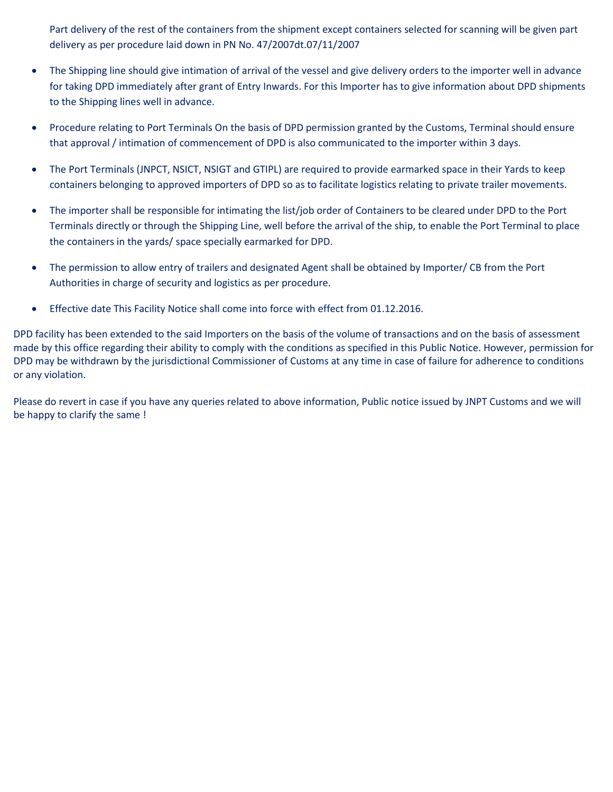Part delivery of the rest of the containers from the shipment except containers selected for scanning will be given part delivery as per procedure laid down in PN No. 47/2007dt.07/11/2007

- The Shipping line should give intimation of arrival of the vessel and give delivery orders to the importer well in advance for taking DPD immediately after grant of Entry Inwards. For this Importer has to give information about DPD shipments to the Shipping lines well in advance.
- Procedure relating to Port Terminals On the basis of DPD permission granted by the Customs, Terminal should ensure that approval / intimation of commencement of DPD is also communicated to the importer within 3 days.
- The Port Terminals (JNPCT, NSICT, NSIGT and GTIPL) are required to provide earmarked space in their Yards to keep containers belonging to approved importers of DPD so as to facilitate logistics relating to private trailer movements.
- The importer shall be responsible for intimating the list/job order of Containers to be cleared under DPD to the Port Terminals directly or through the Shipping Line, well before the arrival of the ship, to enable the Port Terminal to place the containers in the yards/ space specially earmarked for DPD.
- The permission to allow entry of trailers and designated Agent shall be obtained by Importer/ CB from the Port Authorities in charge of security and logistics as per procedure.
- Effective date This Facility Notice shall come into force with effect from 01.12.2016.

DPD facility has been extended to the said Importers on the basis of the volume of transactions and on the basis of assessment made by this office regarding their ability to comply with the conditions as specified in this Public Notice. However, permission for DPD may be withdrawn by the jurisdictional Commissioner of Customs at any time in case of failure for adherence to conditions or any violation.

Please do revert in case if you have any queries related to above information, Public notice issued by JNPT Customs and we will be happy to clarify the same !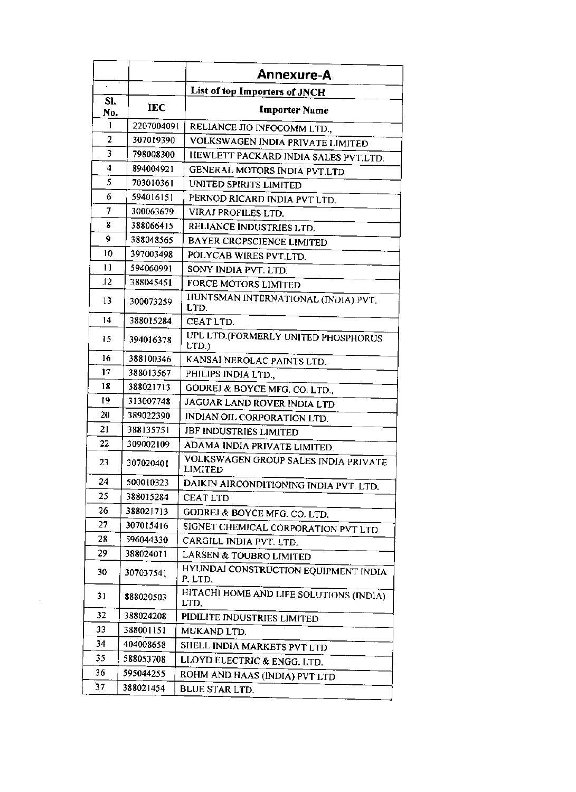|                |            | Annexure-A                                      |
|----------------|------------|-------------------------------------------------|
| $\blacksquare$ |            | List of top Importers of JNCH                   |
| SI.            | <b>IEC</b> |                                                 |
| No.            |            | <b>Importer Name</b>                            |
| 1              | 2207004091 | RELIANCE JIO INFOCOMM LTD.,                     |
| 2              | 307019390  | VOLKSWAGEN INDIA PRIVATE LIMITED                |
| 3              | 798008300  | HEWLETT PACKARD INDIA SALES PVT.LTD.            |
| 4              | 894004921  | GENERAL MOTORS INDIA PVT.LTD                    |
| 5              | 703010361  | UNITED SPIRITS LIMITED                          |
| 6              | 594016151  | PERNOD RICARD INDIA PVT LTD.                    |
| 7              | 300063679  | VIRAJ PROFILES LTD.                             |
| 8              | 388066415  | RELIANCE INDUSTRIES LTD.                        |
| 9              | 388048565  | <b>BAYER CROPSCIENCE LIMITED</b>                |
| 10             | 397003498  | POLYCAB WIRES PVT.LTD.                          |
| 11             | 594060991  | SONY INDIA PVT. LTD.                            |
| .12            | 388045451  | FORCE MOTORS LIMITED                            |
| 13             | 300073259  | HUNTSMAN INTERNATIONAL (INDIA) PVT.<br>LTD.     |
| 14             | 388015284  | CEAT LTD.                                       |
| 15             | 394016378  | UPL LTD.(FORMERLY UNITED PHOSPHORUS<br>LTD.)    |
| 16             | 388100346  | KANSAI NEROLAC PAINTS LTD.                      |
| 17             | 388013567  | PHILIPS INDIA LTD.,                             |
| 18             | 388021713  | GODREJ & BOYCE MFG. CO. LTD.,                   |
| 19             | 313007748  | JAGUAR LAND ROVER INDIA LTD                     |
| 20             | 389022390  | INDIAN OIL CORPORATION LTD.                     |
| 21             | 388135751  | JBF INDUSTRIES LIMITED                          |
| 22             | 309002109  | ADAMA INDIA PRIVATE LIMITED.                    |
| 23             | 307020401  | VOLKSWAGEN GROUP SALES INDIA PRIVATE<br>LIMITED |
| 24             | 500010323  | DAIKIN AIRCONDITIONING INDIA PVT. LTD.          |
| 25             | 388015284  | <b>CEAT LTD</b>                                 |
| 26             | 388021713  | GODREJ & BOYCE MFG. CO. LTD.                    |
| 27             | 307015416  | SIGNET CHEMICAL CORPORATION PVT LTD             |
| 28             | 596044330  | CARGILL INDIA PVT. LTD.                         |
| 29             | 388024011  | LARSEN & TOUBRO LIMITED                         |
| 30             | 307037541  | HYUNDAI CONSTRUCTION EQUIPMENT INDIA<br>P.LTD.  |
| 31             | 888020503  | HITACHI HOME AND LIFE SOLUTIONS (INDIA)<br>LTD. |
| 32             | 388024208  | PIDILITE INDUSTRIES LIMITED                     |
| 33             | 388001151  | MUKAND LTD.                                     |
| 34             | 404008658  | SHELL INDIA MARKETS PVT LTD                     |
| 35             | 588053708  | LLOYD ELECTRIC & ENGG. LTD.                     |
| 36             | 595044255  | ROHM AND HAAS (INDIA) PVT LTD                   |
| 37             | 388021454  | BLUE STAR LTD.                                  |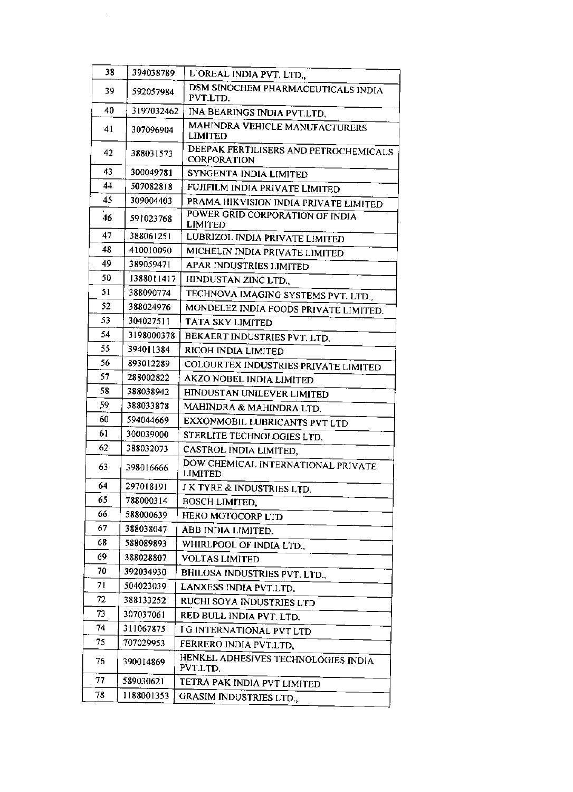| 38 | 394038789  | L'OREAL INDIA PVT. LTD.,                             |
|----|------------|------------------------------------------------------|
| 39 | 592057984  | DSM SINOCHEM PHARMACEUTICALS INDIA<br>PVT.LTD.       |
| 40 | 3197032462 | INA BEARINGS INDIA PVT.LTD,                          |
| 41 | 307096904  | MAHINDRA VEHICLE MANUFACTURERS<br><b>LIMITED</b>     |
| 42 | 388031573  | DEEPAK FERTILISERS AND PETROCHEMICALS<br>CORPORATION |
| 43 | 300049781  | SYNGENTA INDIA LIMITED                               |
| 44 | 507082818  | FUJIFILM INDIA PRIVATE LIMITED                       |
| 45 | 309004403  | PRAMA HIKVISION INDIA PRIVATE LIMITED                |
| 46 | 591023768  | POWER GRID CORPORATION OF INDIA<br><b>LIMITED</b>    |
| 47 | 388061251  | LUBRIZOL INDIA PRIVATE LIMITED                       |
| 48 | 410010090  | MICHELIN INDIA PRIVATE LIMITED                       |
| 49 | 389059471  | APAR INDUSTRIES LIMITED                              |
| 50 | 1388011417 | HINDUSTAN ZINC LTD.                                  |
| 51 | 388090774  | TECHNOVA IMAGING SYSTEMS PVT. LTD.,                  |
| 52 | 388024976  | MONDELEZ INDIA FOODS PRIVATE LIMITED.                |
| 53 | 304027511  | TATA SKY LIMITED                                     |
| 54 | 3198000378 | BEKAERT INDUSTRIES PVT. LTD.                         |
| 55 | 394011384  | RICOH INDIA LIMITED                                  |
| 56 | 893012289  | COLOURTEX INDUSTRIES PRIVATE LIMITED                 |
| 57 | 288002822  | AKZO NOBEL INDIA LIMITED                             |
| 58 | 388038942  | HINDUSTAN UNILEVER LIMITED                           |
| 59 | 388033878  | MAHINDRA & MAHINDRA LTD.                             |
| 60 | 594044669  | EXXONMOBIL LUBRICANTS PVT LTD                        |
| 61 | 300039000  | STERLITE TECHNOLOGIES LTD.                           |
| 62 | 388032073  | CASTROL INDIA LIMITED,                               |
| 63 | 398016666  | DOW CHEMICAL INTERNATIONAL PRIVATE<br>LIMITED        |
| 64 | 297018191  | J K TYRE & INDUSTRIES LTD.                           |
| 65 | 788000314  | BOSCH LIMITED.                                       |
| 66 | 588000639  | HERO MOTOCORP LTD                                    |
| 67 | 388038047  | ABB INDIA LIMITED.                                   |
| 68 | 588089893  | WHIRLPOOL OF INDIA LTD.,                             |
| 69 | 388028807  | <b>VOLTAS LIMITED</b>                                |
| 70 | 392034930  | <b>BHILOSA INDUSTRIES PVT. LTD.,</b>                 |
| 71 | 504023039  | LANXESS INDIA PVT.LTD.                               |
| 72 | 388133252  | RUCHI SOYA INDUSTRIES LTD                            |
| 73 | 307037061  | RED BULL INDIA PVT. LTD.                             |
| 74 | 311067875  | I G INTERNATIONAL PVT LTD                            |
| 75 | 707029953  | FERRERO INDIA PVT.LTD,                               |
| 76 | 390014869  | HENKEL ADHESIVES TECHNOLOGIES INDIA<br>PVT.LTD.      |
| 77 | 589030621  | TETRA PAK INDIA PVT LIMITED                          |
| 78 | 1188001353 | GRASIM INDUSTRIES LTD.,                              |

 $\mathcal{L}_{\mathcal{A}}$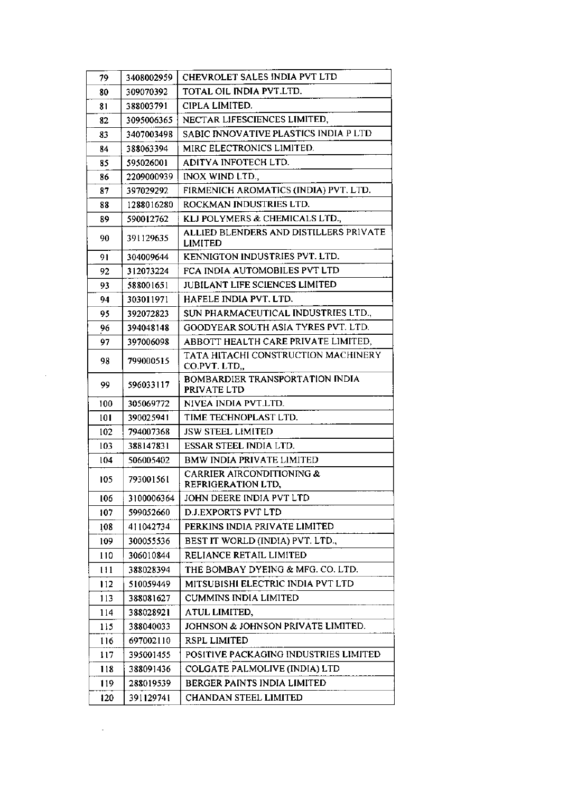| 79  | 3408002959 | CHEVROLET SALES INDIA PVT LTD                            |
|-----|------------|----------------------------------------------------------|
| 80  | 309070392  | TOTAL OIL INDIA PVT.LTD.                                 |
| 81  | 388003791  | CIPLA LIMITED.                                           |
| 82  | 3095006365 | NECTAR LIFESCIENCES LIMITED,                             |
| 83  | 3407003498 | SABIC INNOVATIVE PLASTICS INDIA P LTD                    |
| 84  | 388063394  | MIRC ELECTRONICS LIMITED.                                |
| 85  | 595026001  | ADITYA INFOTECH LTD.                                     |
| 86  | 2209000939 | INOX WIND LTD.,                                          |
| 87  | 397029292  | FIRMENICH AROMATICS (INDIA) PVT. LTD.                    |
| 88  | 1288016280 | ROCKMAN INDUSTRIES LTD.                                  |
| 89  | 590012762  | KLJ POLYMERS & CHEMICALS LTD.,                           |
| 90  | 391129635  | ALLIED BLENDERS AND DISTILLERS PRIVATE<br><b>LIMITED</b> |
| 91  | 304009644  | KENNIGTON INDUSTRIES PVT. LTD.                           |
| 92  | 312073224  | FCA INDIA AUTOMOBILES PVT LTD                            |
| 93  | 588001651  | <b>JUBILANT LIFE SCIENCES LIMITED</b>                    |
| 94  | 303011971  | HAFELE INDIA PVT, LTD.                                   |
| 95  | 392072823  | SUN PHARMACEUTICAL INDUSTRIES LTD.,                      |
| 96  | 394048148  | GOODYEAR SOUTH ASIA TYRES PVT. LTD.                      |
| 97  | 397006098  | ABBOTT HEALTH CARE PRIVATE LIMITED,                      |
| 98  | 799000515  | TATA HITACHI CONSTRUCTION MACHINERY<br>CO.PVT. LTD,      |
| 99  | 596033117  | BOMBARDIER TRANSPORTATION INDIA<br>PRIVATE LTD           |
| 100 | 305069772  | NIVEA INDIA PVT.LTD.                                     |
| 101 | 390025941  | TIME TECHNOPLAST LTD.                                    |
| 102 | 794007368  | <b>JSW STEEL LIMITED</b>                                 |
| 103 | 388147831  | ESSAR STEEL INDIA LTD.                                   |
| 104 | 506005402  | <b>BMW INDIA PRIVATE LIMITED</b>                         |
| 105 | 793001561  | CARRIER AIRCONDITIONING &<br>REFRIGERATION LTD,          |
| 106 | 3100006364 | JOHN DEERE INDIA PVT LTD                                 |
| 107 | 599052660  | D.J.EXPORTS PVT LTD                                      |
| ļ08 | 411042734  | PERKINS INDIA PRIVATE LIMITED                            |
| 109 | 300055536  | BEST IT WORLD (INDIA) PVT. LTD.,                         |
| 110 | 306010844  | RELIANCE RETAIL LIMITED                                  |
| 111 | 388028394  | THE BOMBAY DYEING & MFG. CO. LTD.                        |
| 112 | 510059449  | MITSUBISHI ELECTRIC INDIA PVT LTD                        |
| 113 | 388081627  | <b>CUMMINS INDIA LIMITED</b>                             |
| 114 | 388028921  | ATUL LIMITED,                                            |
| 115 | 388040033  | JOHNSON & JOHNSON PRIVATE LIMITED.                       |
| 116 | 697002110  | RSPL LIMITED                                             |
| 117 | 395001455  | POSITIVE PACKAGING INDUSTRIES LIMITED                    |
| 118 | 388091436  | COLGATE PALMOLIVE (INDIA) LTD                            |
| 119 | 288019539  | BERGER PAINTS INDIA LIMITED                              |
| 120 | 391129741  | CHANDAN STEEL LIMITED                                    |

 $\Delta \sim 10^{11}$ 

 $\mathcal{L}^{\pm}$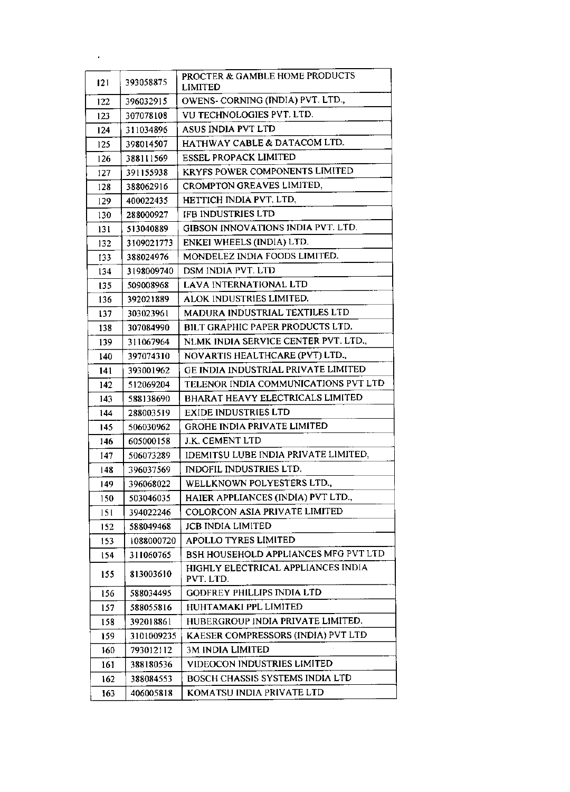| 121  | 393058875  | PROCTER & GAMBLE HOME PRODUCTS<br><b>LIMITED</b> |
|------|------------|--------------------------------------------------|
| 122  | 396032915  | OWENS- CORNING (INDIA) PVT. LTD.,                |
| 123  | 307078108  | VU TECHNOLOGIES PVT. LTD.                        |
| 124  | 311034896  | ASUS INDIA PVT LTD                               |
| 125  | 398014507  | HATHWAY CABLE & DATACOM LTD.                     |
| 126  | 388111569  | <b>ESSEL PROPACK LIMITED</b>                     |
| 127  | 391155938  | KRYFS POWER COMPONENTS LIMITED                   |
| 128  | 388062916  | CROMPTON GREAVES LIMITED,                        |
| 129  | 400022435  | HETTICH INDIA PVT. LTD,                          |
| 130  | 288000927  | IFB INDUSTRIES LTD                               |
| 131  | 513040889  | GIBSON INNOVATIONS INDIA PVT. LTD.               |
| 132  | 3109021773 | ENKEI WHEELS (INDIA) LTD.                        |
| 133  | 388024976  | MONDELEZ INDIA FOODS LIMITED.                    |
| 134  | 3198009740 | DSM INDIA PVT. LTD                               |
| 135  | 509008968  | <b>LAVA INTERNATIONAL LTD</b>                    |
| 136  | 392021889  | ALOK INDUSTRIES LIMITED.                         |
| 137  | 303023961  | MADURA INDUSTRIAL TEXTILES LTD                   |
| 138  | 307084990  | BILT GRAPHIC PAPER PRODUCTS LTD.                 |
| 139  | 311067964  | NLMK INDIA SERVICE CENTER PVT. LTD.,             |
| 140  | 397074310  | NOVARTIS HEALTHCARE (PVT) LTD.,                  |
| 141  | 393001962  | GE INDIA INDUSTRIAL PRIVATE LIMITED              |
| 142  | 512069204  | TELENOR INDIA COMMUNICATIONS PVT LTD             |
| 143  | 588138690  | BHARAT HEAVY ELECTRICALS LIMITED                 |
| 144  | 288003519  | <b>EXIDE INDUSTRIES LTD</b>                      |
| 145  | 506030962  | GROHE INDIA PRIVATE LIMITED                      |
| 146  | 605000158  | J.K. CEMENT LTD                                  |
| 147  | 506073289  | IDEMITSU LUBE INDIA PRIVATE LIMITED,             |
| 148  | 396037569  | INDOFIL INDUSTRIES LTD.                          |
| 149. | 396068022  | WELLKNOWN POLYESTERS LTD.,                       |
| 150  | 503046035  | HAIER APPLIANCES (INDIA) PVT LTD.,               |
| 151  | 394022246  | COLORCON ASIA PRIVATE LIMITED                    |
| 152  | 588049468  | <b>JCB INDIA LIMITED</b>                         |
| 153  | 1088000720 | <b>APOLLO TYRES LIMITED</b>                      |
| 154  | 311060765  | BSH HOUSEHOLD APPLIANCES MFG PVT LTD             |
| 155  | 813003610  | HIGHLY ELECTRICAL APPLIANCES INDIA<br>PVT. LTD.  |
| 156  | 588034495  | <b>GODFREY PHILLIPS INDIA LTD</b>                |
| 157  | 588055816  | HUHTAMAKI PPL LIMITED                            |
| 158  | 392018861  | HUBERGROUP INDIA PRIVATE LIMITED.                |
| 159  | 3101009235 | KAESER COMPRESSORS (INDIA) PVT LTD               |
| 160  | 793012112  | <b>3M INDIA LIMITED</b>                          |
| 161  | 388180536  | VIDEOCON INDUSTRIES LIMITED                      |
| 162  | 388084553  | BOSCH CHASSIS SYSTEMS INDIA LTD                  |
| 163  | 406005818  | KOMATSU INDIA PRIVATE LTD                        |
|      |            |                                                  |

l,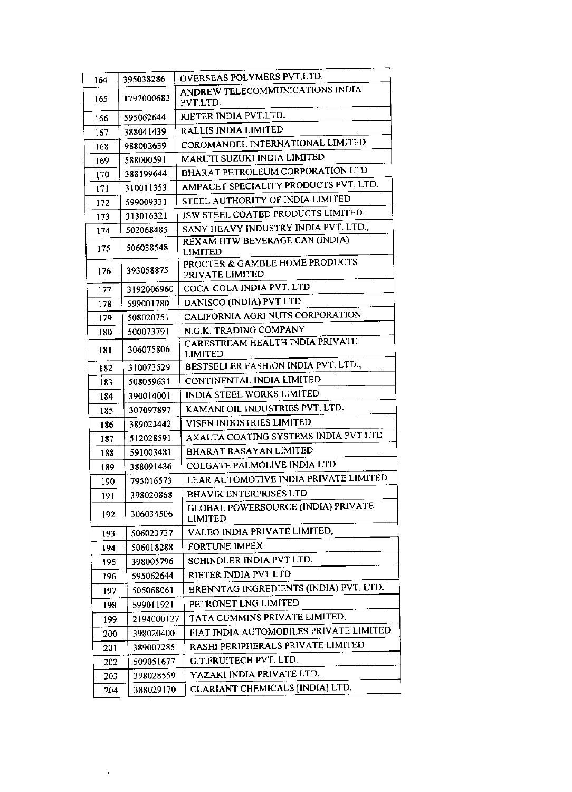| OVERSEAS POLYMERS PVT.LTD.<br>395038286<br>164<br>ANDREW TELECOMMUNICATIONS INDIA<br>1797000683<br>165<br>PVT.LTD.<br>RIETER INDIA PVT.LTD.<br>595062644<br>166<br>RALLIS INDIA LIMITED<br>388041439<br>167<br>COROMANDEL INTERNATIONAL LIMITED<br>988002639<br>168<br>MARUTI SUZUKI INDIA LIMITED<br>588000591<br>169<br>BHARAT PETROLEUM CORPORATION LTD<br>388199644<br>170<br>AMPACET SPECIALITY PRODUCTS PVT. LTD.<br>310011353<br>171<br>STEEL AUTHORITY OF INDIA LIMITED<br>599009331<br>172<br>JSW STEEL COATED PRODUCTS LIMITED.<br>313016321<br>173<br>SANY HEAVY INDUSTRY INDIA PVT. LTD.,<br>502068485<br>174<br>REXAM HTW BEVERAGE CAN (INDIA)<br>506038548<br>175<br><b>LIMITED</b><br>PROCTER & GAMBLE HOME PRODUCTS<br>393058875<br>176<br>PRIVATE LIMITED<br>COCA-COLA INDIA PVT. LTD<br>3192006960<br>177<br>DANISCO (INDIA) PVT LTD<br>599001780<br>178<br>CALIFORNIA AGRI NUTS CORPORATION<br>508020751<br>179<br>N.G.K. TRADING COMPANY<br>500073791<br>180<br>CARESTREAM HEALTH INDIA PRIVATE<br>306075806<br>181<br>LIMITED |  |
|----------------------------------------------------------------------------------------------------------------------------------------------------------------------------------------------------------------------------------------------------------------------------------------------------------------------------------------------------------------------------------------------------------------------------------------------------------------------------------------------------------------------------------------------------------------------------------------------------------------------------------------------------------------------------------------------------------------------------------------------------------------------------------------------------------------------------------------------------------------------------------------------------------------------------------------------------------------------------------------------------------------------------------------------------|--|
|                                                                                                                                                                                                                                                                                                                                                                                                                                                                                                                                                                                                                                                                                                                                                                                                                                                                                                                                                                                                                                                    |  |
|                                                                                                                                                                                                                                                                                                                                                                                                                                                                                                                                                                                                                                                                                                                                                                                                                                                                                                                                                                                                                                                    |  |
|                                                                                                                                                                                                                                                                                                                                                                                                                                                                                                                                                                                                                                                                                                                                                                                                                                                                                                                                                                                                                                                    |  |
|                                                                                                                                                                                                                                                                                                                                                                                                                                                                                                                                                                                                                                                                                                                                                                                                                                                                                                                                                                                                                                                    |  |
|                                                                                                                                                                                                                                                                                                                                                                                                                                                                                                                                                                                                                                                                                                                                                                                                                                                                                                                                                                                                                                                    |  |
|                                                                                                                                                                                                                                                                                                                                                                                                                                                                                                                                                                                                                                                                                                                                                                                                                                                                                                                                                                                                                                                    |  |
|                                                                                                                                                                                                                                                                                                                                                                                                                                                                                                                                                                                                                                                                                                                                                                                                                                                                                                                                                                                                                                                    |  |
|                                                                                                                                                                                                                                                                                                                                                                                                                                                                                                                                                                                                                                                                                                                                                                                                                                                                                                                                                                                                                                                    |  |
|                                                                                                                                                                                                                                                                                                                                                                                                                                                                                                                                                                                                                                                                                                                                                                                                                                                                                                                                                                                                                                                    |  |
|                                                                                                                                                                                                                                                                                                                                                                                                                                                                                                                                                                                                                                                                                                                                                                                                                                                                                                                                                                                                                                                    |  |
|                                                                                                                                                                                                                                                                                                                                                                                                                                                                                                                                                                                                                                                                                                                                                                                                                                                                                                                                                                                                                                                    |  |
|                                                                                                                                                                                                                                                                                                                                                                                                                                                                                                                                                                                                                                                                                                                                                                                                                                                                                                                                                                                                                                                    |  |
|                                                                                                                                                                                                                                                                                                                                                                                                                                                                                                                                                                                                                                                                                                                                                                                                                                                                                                                                                                                                                                                    |  |
|                                                                                                                                                                                                                                                                                                                                                                                                                                                                                                                                                                                                                                                                                                                                                                                                                                                                                                                                                                                                                                                    |  |
|                                                                                                                                                                                                                                                                                                                                                                                                                                                                                                                                                                                                                                                                                                                                                                                                                                                                                                                                                                                                                                                    |  |
|                                                                                                                                                                                                                                                                                                                                                                                                                                                                                                                                                                                                                                                                                                                                                                                                                                                                                                                                                                                                                                                    |  |
|                                                                                                                                                                                                                                                                                                                                                                                                                                                                                                                                                                                                                                                                                                                                                                                                                                                                                                                                                                                                                                                    |  |
|                                                                                                                                                                                                                                                                                                                                                                                                                                                                                                                                                                                                                                                                                                                                                                                                                                                                                                                                                                                                                                                    |  |
| BESTSELLER FASHION INDIA PVT. LTD.,<br>310073529<br>182                                                                                                                                                                                                                                                                                                                                                                                                                                                                                                                                                                                                                                                                                                                                                                                                                                                                                                                                                                                            |  |
| CONTINENTAL INDIA LIMITED<br>508059631<br>183                                                                                                                                                                                                                                                                                                                                                                                                                                                                                                                                                                                                                                                                                                                                                                                                                                                                                                                                                                                                      |  |
| INDIA STEEL WORKS LIMITED<br>390014001<br>184                                                                                                                                                                                                                                                                                                                                                                                                                                                                                                                                                                                                                                                                                                                                                                                                                                                                                                                                                                                                      |  |
| KAMANI OIL INDUSTRIES PVT. LTD.<br>307097897<br>185                                                                                                                                                                                                                                                                                                                                                                                                                                                                                                                                                                                                                                                                                                                                                                                                                                                                                                                                                                                                |  |
| VISEN INDUSTRIES LIMITED<br>389023442<br>186                                                                                                                                                                                                                                                                                                                                                                                                                                                                                                                                                                                                                                                                                                                                                                                                                                                                                                                                                                                                       |  |
| AXALTA COATING SYSTEMS INDIA PVT LTD<br>512028591<br>187                                                                                                                                                                                                                                                                                                                                                                                                                                                                                                                                                                                                                                                                                                                                                                                                                                                                                                                                                                                           |  |
| <b>BHARAT RASAYAN LIMITED</b><br>591003481<br>188                                                                                                                                                                                                                                                                                                                                                                                                                                                                                                                                                                                                                                                                                                                                                                                                                                                                                                                                                                                                  |  |
| COLGATE PALMOLIVE INDIA LTD<br>388091436<br>189                                                                                                                                                                                                                                                                                                                                                                                                                                                                                                                                                                                                                                                                                                                                                                                                                                                                                                                                                                                                    |  |
| LEAR AUTOMOTIVE INDIA PRIVATE LIMITED<br>795016573<br>190                                                                                                                                                                                                                                                                                                                                                                                                                                                                                                                                                                                                                                                                                                                                                                                                                                                                                                                                                                                          |  |
| <b>BHAVIK ENTERPRISES LTD</b><br>398020868<br>191                                                                                                                                                                                                                                                                                                                                                                                                                                                                                                                                                                                                                                                                                                                                                                                                                                                                                                                                                                                                  |  |
| <b>GLOBAL POWERSOURCE (INDIA) PRIVATE</b><br>306034506<br>192<br><b>LIMITED</b>                                                                                                                                                                                                                                                                                                                                                                                                                                                                                                                                                                                                                                                                                                                                                                                                                                                                                                                                                                    |  |
| VALEO INDIA PRIVATE LIMITED,<br>506023737<br>193                                                                                                                                                                                                                                                                                                                                                                                                                                                                                                                                                                                                                                                                                                                                                                                                                                                                                                                                                                                                   |  |
| FORTUNE IMPEX<br>506018288<br>194                                                                                                                                                                                                                                                                                                                                                                                                                                                                                                                                                                                                                                                                                                                                                                                                                                                                                                                                                                                                                  |  |
| SCHINDLER INDIA PVT.LTD.<br>398005796<br>195                                                                                                                                                                                                                                                                                                                                                                                                                                                                                                                                                                                                                                                                                                                                                                                                                                                                                                                                                                                                       |  |
| RIETER INDIA PVT LTD<br>595062644<br>196                                                                                                                                                                                                                                                                                                                                                                                                                                                                                                                                                                                                                                                                                                                                                                                                                                                                                                                                                                                                           |  |
| BRENNTAG INGREDIENTS (INDIA) PVT. LTD.<br>505068061<br>197                                                                                                                                                                                                                                                                                                                                                                                                                                                                                                                                                                                                                                                                                                                                                                                                                                                                                                                                                                                         |  |
| PETRONET LNG LIMITED<br>599011921<br>198                                                                                                                                                                                                                                                                                                                                                                                                                                                                                                                                                                                                                                                                                                                                                                                                                                                                                                                                                                                                           |  |
| TATA CUMMINS PRIVATE LIMITED,<br>2194000127<br>199                                                                                                                                                                                                                                                                                                                                                                                                                                                                                                                                                                                                                                                                                                                                                                                                                                                                                                                                                                                                 |  |
| FIAT INDIA AUTOMOBILES PRIVATE LIMITED<br>398020400<br>200                                                                                                                                                                                                                                                                                                                                                                                                                                                                                                                                                                                                                                                                                                                                                                                                                                                                                                                                                                                         |  |
| RASHI PERIPHERALS PRIVATE LIMITED<br>389007285<br>201                                                                                                                                                                                                                                                                                                                                                                                                                                                                                                                                                                                                                                                                                                                                                                                                                                                                                                                                                                                              |  |
| G.T.FRUITECH PVT. LTD.<br>509051677<br>202                                                                                                                                                                                                                                                                                                                                                                                                                                                                                                                                                                                                                                                                                                                                                                                                                                                                                                                                                                                                         |  |
| YAZAKI INDIA PRIVATE LTD.<br>398028559<br>203                                                                                                                                                                                                                                                                                                                                                                                                                                                                                                                                                                                                                                                                                                                                                                                                                                                                                                                                                                                                      |  |
| CLARIANT CHEMICALS [INDIA] LTD.<br>388029170<br>204                                                                                                                                                                                                                                                                                                                                                                                                                                                                                                                                                                                                                                                                                                                                                                                                                                                                                                                                                                                                |  |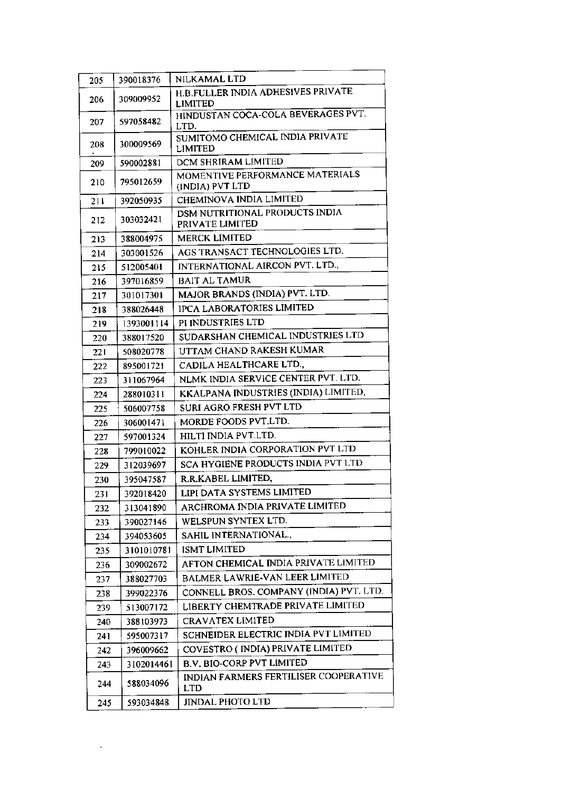| 205 | 390018376  | NILKAMAL LTD                                         |
|-----|------------|------------------------------------------------------|
| 206 | 309009952  | H.B.FULLER INDIA ADHESIVES PRIVATE<br><b>LIMITED</b> |
| 207 | 597058482  | HINDUSTAN COCA-COLA BEVERAGES PVT.<br>LTD.           |
| 208 | 300009569  | SUMITOMO CHEMICAL INDIA PRIVATE<br><b>LIMITED</b>    |
| 209 | 590002881  | DCM SHRIRAM LIMITED                                  |
|     |            | MOMENTIVE PERFORMANCE MATERIALS                      |
| 210 | 795012659  | (INDIA) PVT LTD                                      |
| 211 | 392050935  | CHEMINOVA INDIA LIMITED                              |
| 212 | 303032421  | DSM NUTRITIONAL PRODUCTS INDIA<br>PRIVATE LIMITED    |
| 213 | 388004975  | <b>MERCK LIMITED</b>                                 |
| 214 | 303001526  | AGS TRANSACT TECHNOLOGIES LTD.                       |
| 215 | 512005401  | INTERNATIONAL AIRCON PVT. LTD.,                      |
| 216 | 397016859  | <b>BAIT AL TAMUR</b>                                 |
| 217 | 301017301  | MAJOR BRANDS (INDIA) PVT. LTD.                       |
| 218 | 388026448  | <b>IPCA LABORATORIES LIMITED</b>                     |
| 219 | 1393001114 | PI INDUSTRIES LTD                                    |
| 220 | 388017520  | SUDARSHAN CHEMICAL INDUSTRIES LTD                    |
| 221 | 508020778  | UTTAM CHAND RAKESH KUMAR                             |
| 222 | 895001721  | CADILA HEALTHCARE LTD.,                              |
| 223 | 311067964  | NLMK INDIA SERVICE CENTER PVT. LTD.                  |
| 224 | 288010311  | KKALPANA INDUSTRIES (INDIA) LIMITED,                 |
| 225 | 506007758  | SURI AGRO FRESH PVT LTD                              |
| 226 | 306001471  | MORDE FOODS PVT.LTD.                                 |
| 227 | 597001324  | HILTI INDIA PVT.LTD.                                 |
| 228 | 799010022  | KOHLER INDIA CORPORATION PVT LTD                     |
| 229 | 312039697  | SCA HYGIENE PRODUCTS INDIA PVT LTD                   |
| 230 | 395047587  | R.R.KABEL LIMITED,                                   |
| 231 | 392018420  | LIPI DATA SYSTEMS LIMITED                            |
| 232 | 313041890  | ARCHROMA INDIA PRIVATE LIMITED                       |
| 233 | 390027146  | WELSPUN SYNTEX LTD.                                  |
| 234 | 394053605  | SAHIL INTERNATIONAL.,                                |
| 235 | 3101010781 | <b>ISMT LIMITED</b>                                  |
| 236 | 309002672  | AFTON CHEMICAL INDIA PRIVATE LIMITED                 |
| 237 | 388027703  | BALMER LAWRIE-VAN LEER LIMITED                       |
| 238 | 399022376  | CONNELL BROS. COMPANY (INDIA) PVT. LTD.              |
| 239 | 513007172  | LIBERTY CHEMTRADE PRIVATE LIMITED                    |
| 240 | 388103973  | CRAVATEX LIMITED                                     |
| 241 | 595007317  | SCHNEIDER ELECTRIC INDIA PVT LIMITED                 |
| 242 | 396009662  | COVESTRO (INDIA) PRIVATE LIMITED                     |
| 243 | 3102014461 | <b>B.V. BIO-CORP PVT LIMITED</b>                     |
| 244 | 588034096  | INDIAN FARMERS FERTILISER COOPERATIVE<br><b>LTD</b>  |
| 245 | 593034848  | JINDAL PHOTO LTD                                     |

÷,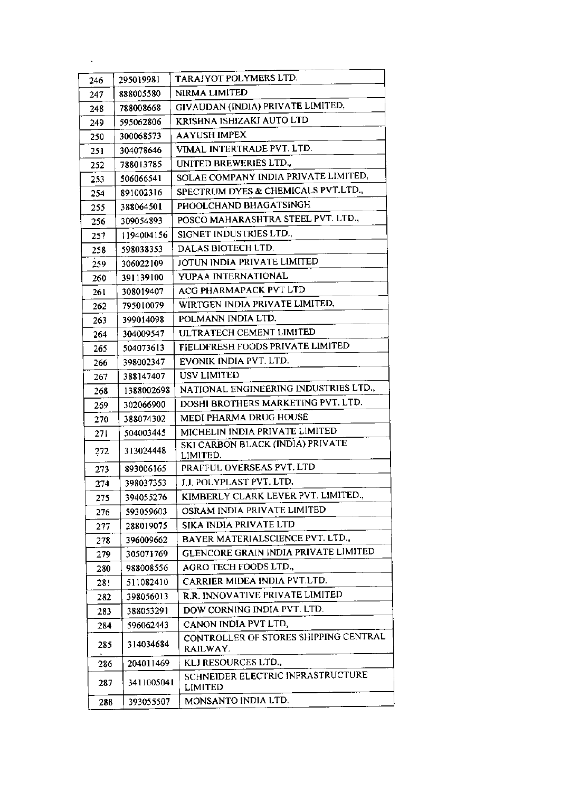| 246 | 295019981  | TARAJYOT POLYMERS LTD.                              |
|-----|------------|-----------------------------------------------------|
| 247 | 888005580  | NIRMA LIMITED                                       |
| 248 | 788008668  | GIVAUDAN (INDIA) PRIVATE LIMITED,                   |
| 249 | 595062806  | KRISHNA ISHIZAKI AUTO LTD                           |
| 250 | 300068573  | AAYUSH IMPEX                                        |
| 251 | 304078646  | VIMAL INTERTRADE PVT. LTD.                          |
| 252 | 788013785  | UNITED BREWERIES LTD.,                              |
| 253 | 506066541  | SOLAE COMPANY INDIA PRIVATE LIMITED,                |
| 254 | 891002316  | SPECTRUM DYES & CHEMICALS PVT.LTD.,                 |
| 255 | 388064501  | PHOOLCHAND BHAGATSINGH                              |
| 256 | 309054893  | POSCO MAHARASHTRA STEEL PVT. LTD.,                  |
| 257 | 1194004156 | SIGNET INDUSTRIES LTD.,                             |
| 258 | 598038353  | DALAS BIOTECH LTD.                                  |
| 259 | 306022109  | JOTUN INDIA PRIVATE LIMITED                         |
| 260 | 391139100  | YUPAA INTERNATIONAL                                 |
| 261 | 308019407  | ACG PHARMAPACK PVT LTD                              |
| 262 | 795010079  | WIRTGEN INDIA PRIVATE LIMITED,                      |
| 263 | 399014098  | POLMANN INDIA LTD.                                  |
| 264 | 304009547  | ULTRATECH CEMENT LIMITED                            |
| 265 | 504073613  | FIELDFRESH FOODS PRIVATE LIMITED                    |
| 266 | 398002347  | EVONIK INDIA PVT. LTD.                              |
| 267 | 388147407  | USV LIMITED                                         |
| 268 | 1388002698 | NATIONAL ENGINEERING INDUSTRIES LTD.,               |
| 269 | 302066900  | DOSHI BROTHERS MARKETING PVT. LTD.                  |
| 270 | 388074302  | MEDI PHARMA DRUG HOUSE                              |
| 271 | 504003445  | MICHELIN INDIA PRIVATE LIMITED                      |
| 272 | 313024448  | SKI CARBON BLACK (INDIA) PRIVATE<br>LIMITED.        |
| 273 | 893006165  | PRAFFUL OVERSEAS PVT. LTD                           |
| 274 | 398037353  | J.J. POLYPLAST PVT. LTD.                            |
| 275 | 394055276  | KIMBERLY CLARK LEVER PVT. LIMITED.,                 |
| 276 | 593059603  | OSRAM INDIA PRIVATE LIMITED                         |
| 277 | 288019075  | SIKA INDIA PRIVATE LTD                              |
| 278 | 396009662  | BAYER MATERIALSCIENCE PVT. LTD.,                    |
| 279 | 305071769  | GLENCORE GRAIN INDIA PRIVATE LIMITED                |
| 280 | 988008556  | AGRO TECH FOODS LTD.,                               |
| 281 | 511082410  | CARRIER MIDEA INDIA PVT.LTD.                        |
| 282 | 398056013  | R.R. INNOVATIVE PRIVATE LIMITED                     |
| 283 | 388053291  | DOW CORNING INDIA PVT. LTD.                         |
| 284 | 596062443  | CANON INDIA PVT LTD,                                |
| 285 | 314034684  | CONTROLLER OF STORES SHIPPING CENTRAL<br>RAILWAY.   |
| 286 | 204011469  | KLJ RESOURCES LTD.,                                 |
| 287 | 3411005041 | SCHNEIDER ELECTRIC INFRASTRUCTURE<br><b>LIMITED</b> |
| 288 | 393055507  | MONSANTO INDIA LTD.                                 |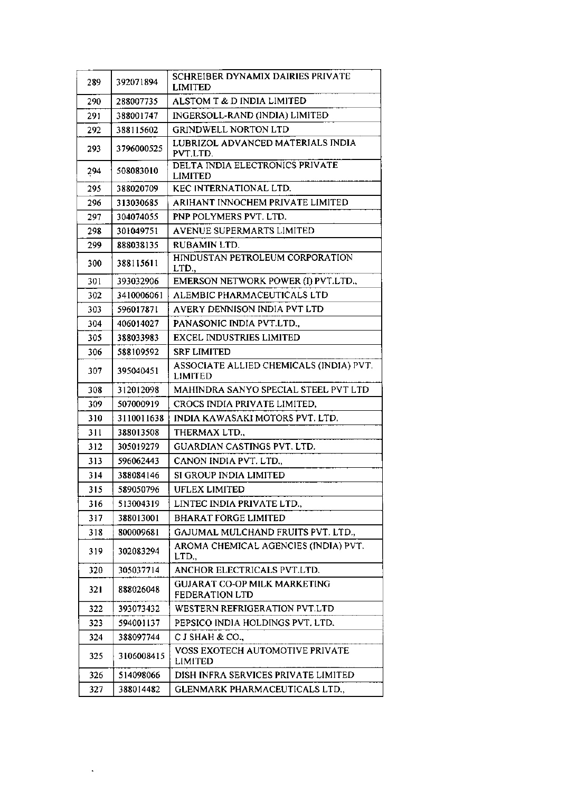| 289 | 392071894  | SCHREIBER DYNAMIX DAIRIES PRIVATE<br><b>LIMITED</b>          |
|-----|------------|--------------------------------------------------------------|
| 290 | 288007735  | ALSTOM T & D INDIA LIMITED                                   |
| 291 | 388001747  | INGERSOLL-RAND (INDIA) LIMITED                               |
| 292 | 388115602  | <b>GRINDWELL NORTON LTD</b>                                  |
| 293 | 3796000525 | LUBRIZOL ADVANCED MATERIALS INDIA<br>PVT.LTD.                |
| 294 | 508083010  | DELTA INDIA ELECTRONICS PRIVATE<br>LIMITED                   |
| 295 | 388020709  | KEC INTERNATIONAL LTD.                                       |
| 296 | 313030685  | ARIHANT INNOCHEM PRIVATE LIMITED                             |
| 297 | 304074055  | PNP POLYMERS PVT. LTD.                                       |
| 298 | 301049751  | AVENUE SUPERMARTS LIMITED                                    |
| 299 | 888038135  | RUBAMIN LTD.                                                 |
| 300 | 388115611  | HINDUSTAN PETROLEUM CORPORATION<br>LTD.,                     |
| 301 | 393032906  | EMERSON NETWORK POWER (I) PVT.LTD.,                          |
| 302 | 3410006061 | ALEMBIC PHARMACEUTICALS LTD                                  |
| 303 | 596017871  | AVERY DENNISON INDIA PVT LTD                                 |
| 304 | 406014027  | PANASONIC INDIA PVT.LTD.,                                    |
| 305 | 388033983  | <b>EXCEL INDUSTRIES LIMITED</b>                              |
| 306 | 588109592  | <b>SRF LIMITED</b>                                           |
| 307 | 395040451  | ASSOCIATE ALLIED CHEMICALS (INDIA) PVT.<br>LIMITED           |
| 308 | 312012098  | MAHINDRA SANYO SPECIAL STEEL PVT LTD                         |
| 309 | 507000919  | CROCS INDIA PRIVATE LIMITED,                                 |
| 310 | 3110011638 | INDIA KAWASAKI MOTORS PVT. LTD.                              |
| 311 | 388013508  | THERMAX LTD.,                                                |
| 312 | 305019279  | <b>GUARDIAN CASTINGS PVT. LTD.</b>                           |
| 313 | 596062443  | CANON INDIA PVT. LTD.,                                       |
| 314 | 388084146  | SI GROUP INDIA LIMITED                                       |
| 315 | 589050796  | <b>UFLEX LIMITED</b>                                         |
| 316 | 513004319  | LINTEC INDIA PRIVATE LTD.,                                   |
| 317 | 388013001  | <b>BHARAT FORGE LIMITED</b>                                  |
| 318 | 800009681  | GAJUMAL MULCHAND FRUITS PVT. LTD.,                           |
| 319 | 302083294  | AROMA CHEMICAL AGENCIES (INDIA) PVT.<br>LTD.,                |
| 320 | 305037714  | ANCHOR ELECTRICALS PVT.LTD.                                  |
| 321 | 888026048  | <b>GUJARAT CO-OP MILK MARKETING</b><br><b>FEDERATION LTD</b> |
| 322 | 393073432  | WESTERN REFRIGERATION PVT.LTD                                |
| 323 | 594001137  | PEPSICO INDIA HOLDINGS PVT. LTD.                             |
| 324 | 388097744  | C J SHAH & CO.,                                              |
| 325 | 3106008415 | <b>VOSS EXOTECH AUTOMOTIVE PRIVATE</b><br>LIMITED            |
| 326 | 514098066  | DISH INFRA SERVICES PRIVATE LIMITED                          |
| 327 | 388014482  | GLENMARK PHARMACEUTICALS LTD.,                               |
|     |            |                                                              |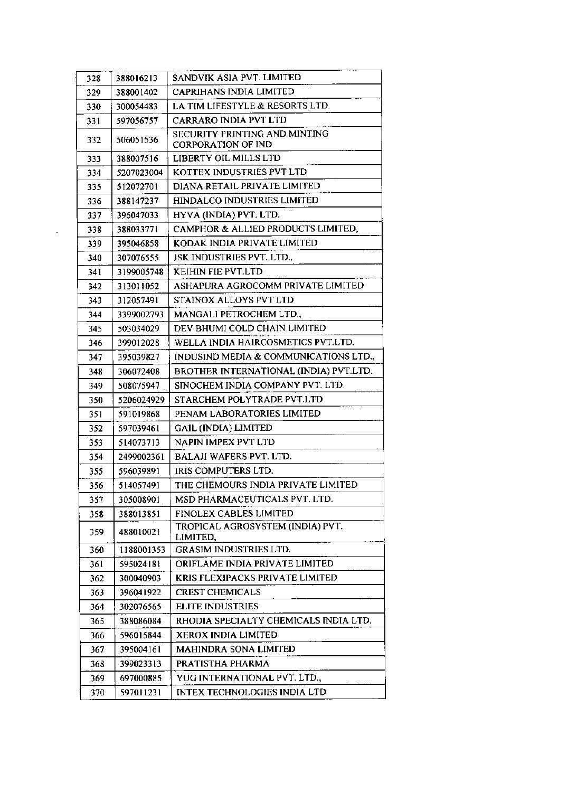| 328 | 388016213  | SANDVIK ASIA PVT. LIMITED                                  |
|-----|------------|------------------------------------------------------------|
| 329 | 388001402  | CAPRIHANS INDIA LIMITED                                    |
| 330 | 300054483  | LA TIM LIFESTYLE & RESORTS LTD.                            |
| 331 | 597056757  | <b>CARRARO INDIA PVT LTD</b>                               |
| 332 | 506051536  | SECURITY PRINTING AND MINTING<br><b>CORPORATION OF IND</b> |
| 333 | 388007516  | LIBERTY OIL MILLS LTD                                      |
| 334 | 5207023004 | KOTTEX INDUSTRIES PVT LTD                                  |
| 335 | 512072701  | DIANA RETAIL PRIVATE LIMITED                               |
| 336 | 388147237  | HINDALCO INDUSTRIES LIMITED                                |
| 337 | 396047033  | HYVA (INDIA) PVT. LTD.                                     |
| 338 | 388033771  | CAMPHOR & ALLIED PRODUCTS LIMITED,                         |
| 339 | 395046858  | KODAK INDIA PRIVATE LIMITED                                |
| 340 | 307076555  | JSK INDUSTRIES PVT. LTD.,                                  |
| 341 | 3199005748 | KEIHIN FIE PVT.LTD                                         |
| 342 | 313011052  | ASHAPURA AGROCOMM PRIVATE LIMITED                          |
| 343 | 312057491  | STAINOX ALLOYS PVT LTD                                     |
| 344 | 3399002793 | MANGALI PETROCHEM LTD.,                                    |
| 345 | 503034029  | DEV BHUMI COLD CHAIN LIMITED                               |
| 346 | 399012028  | WELLA INDIA HAIRCOSMETICS PVT.LTD.                         |
| 347 | 395039827  | INDUSIND MEDIA & COMMUNICATIONS LTD.,                      |
| 348 | 306072408  | BROTHER INTERNATIONAL (INDIA) PVT.LTD.                     |
| 349 | 508075947  | SINOCHEM INDIA COMPANY PVT. LTD.                           |
| 350 | 5206024929 | STARCHEM POLYTRADE PVT.LTD                                 |
| 351 | 591019868  | PENAM LABORATORIES LIMITED                                 |
| 352 | 597039461  | <b>GAIL (INDIA) LIMITED</b>                                |
| 353 | 514073713  | NAPIN IMPEX PVT LTD                                        |
| 354 | 2499002361 | BALAJI WAFERS PVT. LTD.                                    |
| 355 | 596039891  | IRIS COMPUTERS LTD.                                        |
| 356 | 514057491  | THE CHEMOURS INDIA PRIVATE LIMITED                         |
| 357 | 305008901  | MSD PHARMACEUTICALS PVT. LTD.                              |
| 358 | 388013851  | <b>FINOLEX CABLES LIMITED</b>                              |
| 359 | 488010021  | TROPICAL AGROSYSTEM (INDIA) PVT.<br>LIMITED,               |
| 360 | 1188001353 | <b>GRASIM INDUSTRIES LTD.</b>                              |
| 361 | 595024181  | ORIFLAME INDIA PRIVATE LIMITED                             |
| 362 | 300040903  | KRIS FLEXIPACKS PRIVATE LIMITED                            |
| 363 | 396041922  | <b>CREST CHEMICALS</b>                                     |
| 364 | 302076565  | <b>ELITE INDUSTRIES</b>                                    |
| 365 | 388086084  | RHODIA SPECIALTY CHEMICALS INDIA LTD.                      |
| 366 | 596015844  | <b>XEROX INDIA LIMITED</b>                                 |
| 367 | 395004161  | <b>MAHINDRA SONA LIMITED</b>                               |
| 368 | 399023313  | PRATISTHA PHARMA                                           |
| 369 | 697000885  | YUG INTERNATIONAL PVT. LTD.,                               |
| 370 | 597011231  | INTEX TECHNOLOGIES INDIA LTD                               |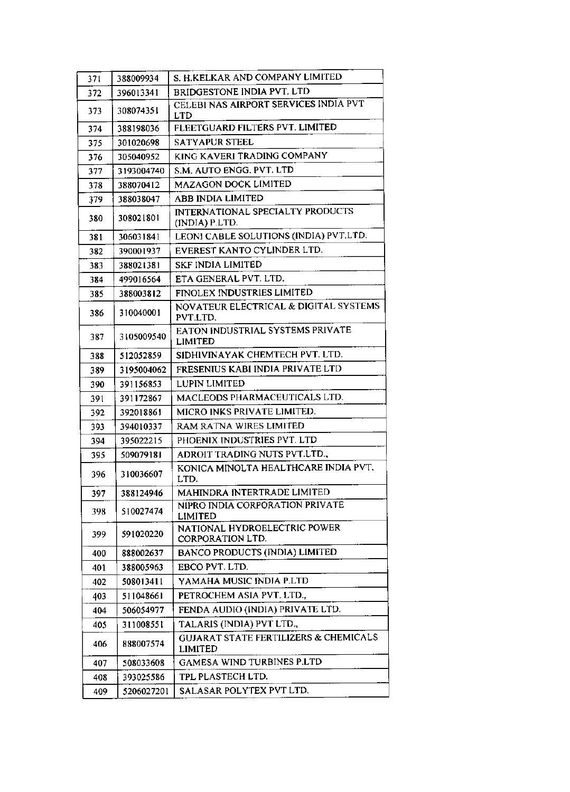| 371 | 388009934  | S. H.KELKAR AND COMPANY LIMITED                                    |
|-----|------------|--------------------------------------------------------------------|
| 372 | 396013341  | BRIDGESTONE INDIA PVT. LTD                                         |
| 373 | 308074351  | CELEBI NAS AIRPORT SERVICES INDIA PVT<br>LTD                       |
| 374 | 388198036  | FLEETGUARD FILTERS PVT. LIMITED                                    |
| 375 | 301020698  | <b>SATYAPUR STEEL</b>                                              |
| 376 | 305040952  | KING KAVERI TRADING COMPANY                                        |
| 377 | 3193004740 | S.M. AUTO ENGG. PVT. LTD                                           |
| 378 | 388070412  | MAZAGON DOCK LIMITED                                               |
| 379 | 388038047  | ABB INDIA LIMITED                                                  |
| 380 | 308021801  | INTERNATIONAL SPECIALTY PRODUCTS<br>(INDIA) P.LTD.                 |
| 381 | 306031841  | LEONI CABLE SOLUTIONS (INDIA) PVT.LTD.                             |
| 382 | 390001937  | EVEREST KANTO CYLINDER LTD.                                        |
| 383 | 388021381  | <b>SKF INDIA LIMITED</b>                                           |
| 384 | 499016564  | ETA GENERAL PVT. LTD.                                              |
| 385 | 388003812  | FINOLEX INDUSTRIES LIMITED                                         |
| 386 | 310040001  | NOVATEUR ELECTRICAL & DIGITAL SYSTEMS<br>PVT.LTD.                  |
| 387 | 3105009540 | EATON INDUSTRIAL SYSTEMS PRIVATE<br><b>LIMITED</b>                 |
| 388 | 512052859  | SIDHIVINAYAK CHEMTECH PVT. LTD.                                    |
| 389 | 3195004062 | FRESENIUS KABI INDIA PRIVATE LTD                                   |
| 390 | 391156853  | <b>LUPIN LIMITED</b>                                               |
| 391 | 391172867  | MACLEODS PHARMACEUTICALS LTD.                                      |
| 392 | 392018861  | MICRO INKS PRIVATE LIMITED.                                        |
| 393 | 394010337  | RAM RATNA WIRES LIMITED                                            |
| 394 | 395022215  | PHOENIX INDUSTRIES PVT. LTD                                        |
| 395 | 509079181  | ADROIT TRADING NUTS PVT.LTD.,                                      |
| 396 | 310036607  | KONICA MINOLTA HEALTHCARE INDIA PVT.<br>LTD.                       |
| 397 | 388124946  | MAHINDRA INTERTRADE LIMITED                                        |
| 398 | 510027474  | NIPRO INDIA CORPORATION PRIVATE<br>LIMITED                         |
| 399 | 591020220  | NATIONAL HYDROELECTRIC POWER<br>CORPORATION LTD.                   |
| 400 | 888002637  | BANCO PRODUCTS (INDIA) LIMITED                                     |
| 401 | 388005963  | EBCO PVT. LTD.                                                     |
| 402 | 508013411  | YAMAHA MUSIC INDIA P.LTD                                           |
| 403 | 511048661  | PETROCHEM ASIA PVT. LTD.,                                          |
| 404 | 506054977  | FENDA AUDIO (INDIA) PRIVATE LTD.                                   |
| 405 | 311008551  | TALARIS (INDIA) PVT LTD.,                                          |
| 406 | 888007574  | <b>GUJARAT STATE FERTILIZERS &amp; CHEMICALS</b><br><b>LIMITED</b> |
| 407 | 508033608  | <b>GAMESA WIND TURBINES P.LTD</b>                                  |
| 408 | 393025586  | TPL PLASTECH LTD.                                                  |
| 409 | 5206027201 | SALASAR POLYTEX PVT LTD.                                           |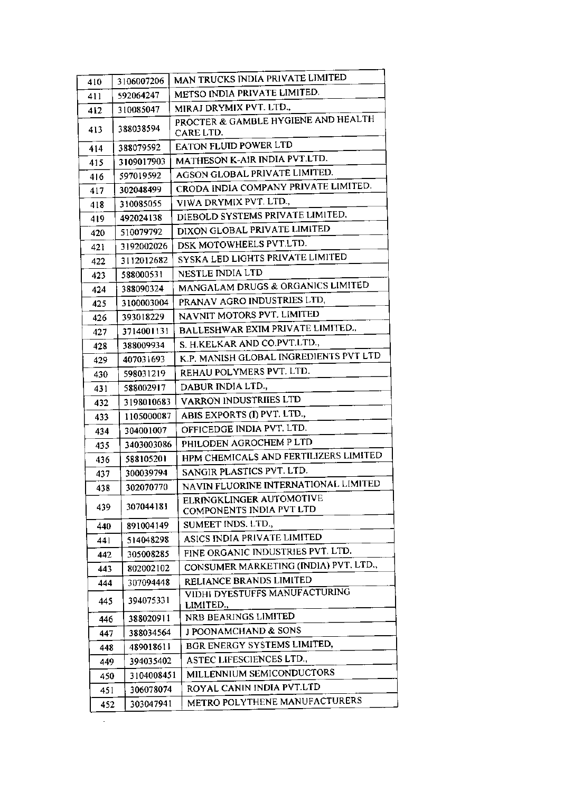| 410 | 3106007206 | MAN TRUCKS INDIA PRIVATE LIMITED                     |
|-----|------------|------------------------------------------------------|
| 411 | 592064247  | METSO INDIA PRIVATE LIMITED.                         |
| 412 | 310085047  | MIRAJ DRYMIX PVT. LTD.,                              |
| 413 | 388038594  | PROCTER & GAMBLE HYGIENE AND HEALTH<br>CARE LTD.     |
| 414 | 388079592  | EATON FLUID POWER LTD                                |
| 415 | 3109017903 | MATHESON K-AIR INDIA PVT.LTD.                        |
| 416 | 597019592  | AGSON GLOBAL PRIVATE LIMITED.                        |
| 417 | 302048499  | CRODA INDIA COMPANY PRIVATE LIMITED.                 |
| 418 | 310085055  | VIWA DRYMIX PVT. LTD.,                               |
| 419 | 492024138  | DIEBOLD SYSTEMS PRIVATE LIMITED,                     |
| 420 | 510079792  | DIXON GLOBAL PRIVATE LIMITED                         |
| 421 | 3192002026 | DSK MOTOWHEELS PVT.LTD.                              |
| 422 | 3112012682 | SYSKA LED LIGHTS PRIVATE LIMITED                     |
| 423 | 588000531  | <b>NESTLE INDIA LTD</b>                              |
| 424 | 388090324  | MANGALAM DRUGS & ORGANICS LIMITED                    |
| 425 | 3100003004 | PRANAV AGRO INDUSTRIES LTD,                          |
| 426 | 393018229  | NAVNIT MOTORS PVT. LIMITED                           |
| 427 | 3714001131 | BALLESHWAR EXIM PRIVATE LIMITED.,                    |
| 428 | 388009934  | S. H.KELKAR AND CO.PVT.LTD.,                         |
| 429 | 407031693  | K.P. MANISH GLOBAL INGREDIENTS PVT LTD               |
| 430 | 598031219  | REHAU POLYMERS PVT. LTD.                             |
| 431 | 588002917  | DABUR INDIA LTD.,                                    |
| 432 | 3198010683 | VARRON INDUSTRIIES LTD                               |
| 433 | 1105000087 | ABIS EXPORTS (I) PVT. LTD.,                          |
| 434 | 304001007  | OFFICEDGE INDIA PVT. LTD.                            |
| 435 | 3403003086 | PHILODEN AGROCHEM P LTD                              |
| 436 | 588105201  | HPM CHEMICALS AND FERTILIZERS LIMITED                |
| 437 | 300039794  | SANGIR PLASTICS PVT. LTD.                            |
| 438 | 302070770  | NAVIN FLUORINE INTERNATIONAL LIMITED                 |
| 439 | 307044181  | ELRINGKLINGER AUTOMOTIVE<br>COMPONENTS INDIA PVT LTD |
| 440 | 891004149  | SUMEET INDS. LTD.,                                   |
| 441 | 514048298  | ASICS INDIA PRIVATE LIMITED                          |
| 442 | 305008285  | FINE ORGANIC INDUSTRIES PVT. LTD.                    |
| 443 | 802002102  | CONSUMER MARKETING (INDIA) PVT. LTD.,                |
| 444 | 307094448  | RELIANCE BRANDS LIMITED                              |
| 445 | 394075331  | VIDHI DYESTÜFFS MANUFACTURING<br>LIMITED.,           |
| 446 | 388020911  | NRB BEARINGS LIMITED                                 |
| 447 | 388034564  | J POONAMCHAND & SONS                                 |
| 448 | 489018611  | BGR ENERGY SYSTEMS LIMITED,                          |
| 449 | 394035402  | ASTEC LIFESCIENCES LTD.,                             |
| 450 | 3104008451 | MILLENNIUM SEMICONDUCTORS                            |
| 451 | 306078074  | ROYAL CANIN INDIA PVT.LTD                            |
| 452 | 303047941  | METRO POLYTHENE MANUFACTURERS                        |

 $\mathcal{L}^{\pm}$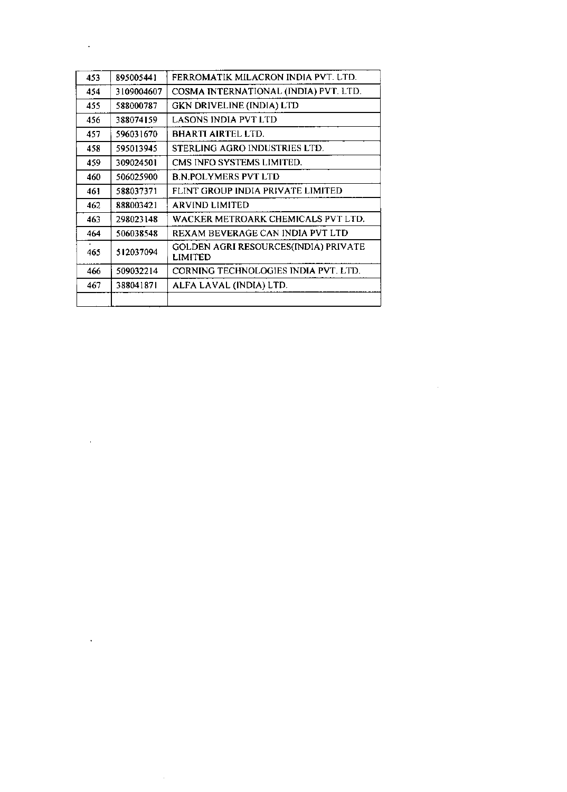| 453 | 895005441  | FERROMATIK MILACRON INDIA PVT. LTD.             |
|-----|------------|-------------------------------------------------|
| 454 | 3109004607 | COSMA INTERNATIONAL (INDIA) PVT. LTD.           |
| 455 | 588000787  | <b>GKN DRIVELINE (INDIA) LTD</b>                |
| 456 | 388074159  | <b>LASONS INDIA PVT LTD</b>                     |
| 457 | 596031670  | BHARTI AIRTEL LTD.                              |
| 458 | 595013945  | STERLING AGRO INDUSTRIES LTD.                   |
| 459 | 309024501  | CMS INFO SYSTEMS LIMITED.                       |
| 460 | 506025900  | <b>B.N.POLYMERS PVT LTD</b>                     |
| 461 | 588037371  | FLINT GROUP INDIA PRIVATE LIMITED               |
| 462 | 888003421  | ARVIND LIMITED                                  |
| 463 | 298023148  | WACKER METROARK CHEMICALS PVT LTD.              |
| 464 | 506038548  | REXAM BEVERAGE CAN INDIA PVT LTD                |
| 465 | 512037094  | GOLDEN AGRI RESOURCES(INDIA) PRIVATE<br>LIMITED |
| 466 | 509032214  | CORNING TECHNOLOGIES INDIA PVT. LTD.            |
| 467 | 388041871  | ALFA LAVAL (INDIA) LTD.                         |
|     |            |                                                 |

 $\label{eq:2.1} \frac{1}{\sqrt{2}}\int_{\mathbb{R}^3}\frac{1}{\sqrt{2}}\left(\frac{1}{\sqrt{2}}\right)^2\frac{1}{\sqrt{2}}\left(\frac{1}{\sqrt{2}}\right)^2\frac{1}{\sqrt{2}}\left(\frac{1}{\sqrt{2}}\right)^2\frac{1}{\sqrt{2}}\left(\frac{1}{\sqrt{2}}\right)^2.$ 

 $\mathcal{L}^{\text{max}}_{\text{max}}$  . The  $\mathcal{L}^{\text{max}}_{\text{max}}$ 

 $\mathcal{L}(\mathcal{L})$  and  $\mathcal{L}(\mathcal{L})$  . In the  $\mathcal{L}(\mathcal{L})$ 

 $\mathcal{L}^{\text{max}}_{\text{max}}$  . The  $\mathcal{L}^{\text{max}}_{\text{max}}$ 

 $\sim 10^{11}$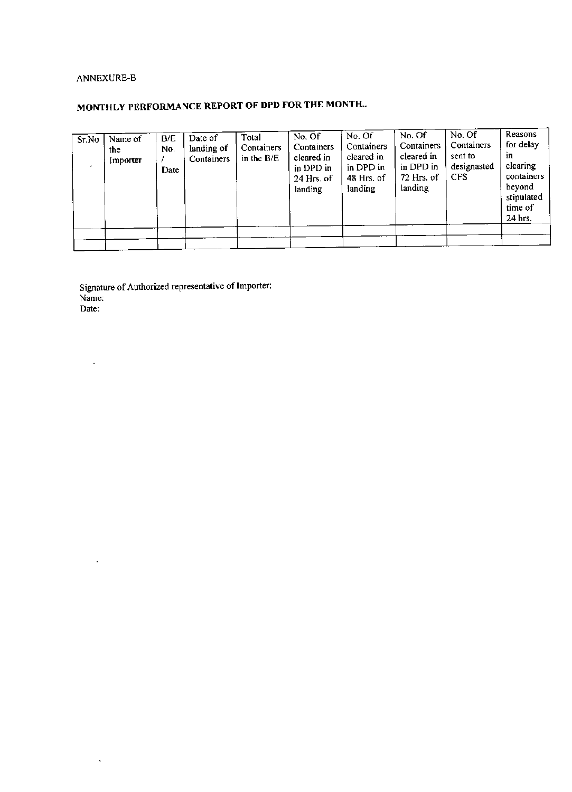# ANNEXURE-B

 $\bar{z}$ 

 $\sim$ 

 $\ddot{\phantom{a}}$ 

# MONTHLY PERFORMANCE REPORT OF DPD FOR THE MONTH...

| Sr.No | Name of<br>the<br>Importer | B/E<br>No.<br>Date | Date of<br>landing of<br>Containers | Total<br>Containers<br>in the $B/E$ | No. Of<br>Containers<br>cleared in<br>in DPD in<br>24 Hrs. of<br>landing | No. Of<br>Containers<br>cleared in<br>in DPD in<br>48 Hrs. of<br>landing | No. Of<br>Containers<br>cleared in<br>in DPD in<br>72 Hrs. of<br>landing | No. Of<br>Containers<br>sent to<br>designasted<br><b>CFS</b> | Reasons<br>for delay<br>in<br>clearing<br>containers<br>beyond<br>stipulated<br>time of<br>24 hrs. |
|-------|----------------------------|--------------------|-------------------------------------|-------------------------------------|--------------------------------------------------------------------------|--------------------------------------------------------------------------|--------------------------------------------------------------------------|--------------------------------------------------------------|----------------------------------------------------------------------------------------------------|
|       |                            |                    |                                     |                                     |                                                                          |                                                                          |                                                                          |                                                              |                                                                                                    |

Signature of Authorized representative of Importer:<br>Name: Date: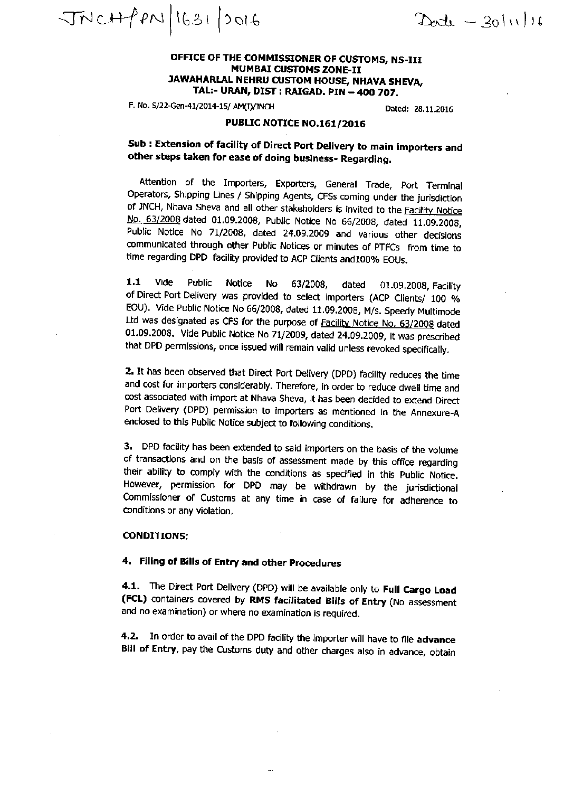$JNCHPPN(1631)0016$ 

 $D_{0}t_{1} - 30|11|16$ 

## OFFICE OF THE COMMISSIONER OF CUSTOMS, NS-III **MUMBAI CUSTOMS ZONE-II** JAWAHARLAL NEHRU CUSTOM HOUSE, NHAVA SHEVA, TAL:- URAN, DIST : RAIGAD. PIN – 400 707.

F. No. S/22-Gen-41/2014-15/ AM(I)/JNCH

Dated: 28.11.2016

# PUBLIC NOTICE NO.161/2016

Sub: Extension of facility of Direct Port Delivery to main importers and other steps taken for ease of doing business- Regarding,

Attention of the Importers, Exporters, General Trade, Port Terminal Operators, Shipping Lines / Shipping Agents, CFSs coming under the jurisdiction of JNCH, Nhava Sheva and all other stakeholders is invited to the Facility Notice No. 63/2008 dated 01.09.2008, Public Notice No 66/2008, dated 11.09.2008, Public Notice No 71/2008, dated 24.09.2009 and various other decisions communicated through other Public Notices or minutes of PTFCs from time to time regarding DPD facility provided to ACP Clients and 100% EOUs.

 $1.1$ Vide Public **Notice No** 63/2008, dated 01.09.2008, Facility of Direct Port Delivery was provided to select importers (ACP Clients/ 100 % EOU). Vide Public Notice No 66/2008, dated 11.09.2008, M/s. Speedy Multimode Ltd was designated as CFS for the purpose of Facility Notice No. 63/2008 dated 01.09.2008. Vide Public Notice No 71/2009, dated 24.09.2009, it was prescribed that DPD permissions, once issued will remain valid unless revoked specifically.

2. It has been observed that Direct Port Delivery (DPD) facility reduces the time and cost for importers considerably. Therefore, in order to reduce dwell time and cost associated with import at Nhava Sheva, it has been decided to extend Direct Port Delivery (DPD) permission to importers as mentioned in the Annexure-A enclosed to this Public Notice subject to following conditions.

3. DPD facility has been extended to said importers on the basis of the volume of transactions and on the basis of assessment made by this office regarding their ability to comply with the conditions as specified in this Public Notice. However, permission for DPD may be withdrawn by the jurisdictional Commissioner of Customs at any time in case of failure for adherence to conditions or any violation.

#### **CONDITIONS:**

# 4. Filing of Bills of Entry and other Procedures

4.1. The Direct Port Delivery (DPD) will be available only to Full Cargo Load (FCL) containers covered by RMS facilitated Bills of Entry (No assessment and no examination) or where no examination is required.

4.2. In order to avail of the DPD facility the importer will have to file advance Bill of Entry, pay the Customs duty and other charges also in advance, obtain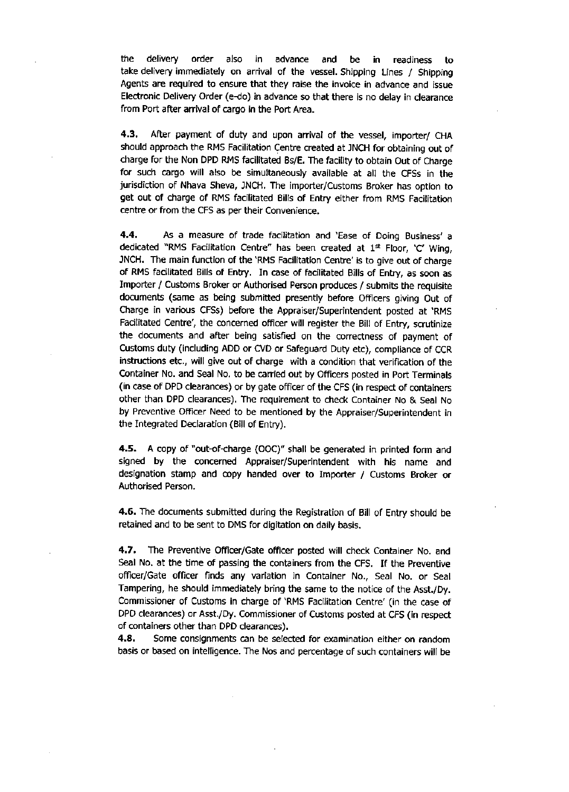the. delivery order also advance in. and be in I readiness to take delivery immediately on arrival of the vessel. Shipping Lines / Shipping Agents are required to ensure that they raise the invoice in advance and issue Electronic Delivery Order (e-do) in advance so that there is no delay in clearance from Port after arrival of cargo in the Port Area.

After payment of duty and upon arrival of the vessel, importer/ CHA  $4.3.$ should approach the RMS Facilitation Centre created at JNCH for obtaining out of charge for the Non DPD RMS facilitated Bs/E. The facility to obtain Out of Charge for such cargo will also be simultaneously available at all the CFSs in the jurisdiction of Nhava Sheva, JNCH. The importer/Customs Broker has option to get out of charge of RMS facilitated Bills of Entry either from RMS Facilitation centre or from the CFS as per their Convenience.

4.4. As a measure of trade facilitation and 'Ease of Doing Business' a dedicated "RMS Facilitation Centre" has been created at 1st Floor, 'C' Wing, JNCH. The main function of the 'RMS Facilitation Centre' is to give out of charge of RMS facilitated Bills of Entry. In case of facilitated Bills of Entry, as soon as Importer / Customs Broker or Authorised Person produces / submits the requisite documents (same as being submitted presently before Officers giving Out of Charge in various CFSs) before the Appraiser/Superintendent posted at 'RMS Facilitated Centre', the concerned officer will register the Bill of Entry, scrutinize the documents and after being satisfied on the correctness of payment of Customs duty (including ADD or CVD or Safeguard Duty etc), compliance of CCR instructions etc., will give out of charge with a condition that verification of the Container No. and Seal No. to be carried out by Officers posted in Port Terminals (in case of DPD clearances) or by gate officer of the CFS (in respect of containers other than DPD clearances). The requirement to check Container No & Seal No by Preventive Officer Need to be mentioned by the Appraiser/Superintendent in the Integrated Declaration (Bill of Entry).

A copy of "out-of-charge (OOC)" shall be generated in printed form and 4.5. signed by the concerned Appraiser/Superintendent with his name and designation stamp and copy handed over to Importer / Customs Broker or Authorised Person.

4.6. The documents submitted during the Registration of Bill of Entry should be retained and to be sent to DMS for digitation on daily basis.

4.7. The Preventive Officer/Gate officer posted will check Container No. and Seal No. at the time of passing the containers from the CFS. If the Preventive officer/Gate officer finds any variation in Container No., Seal No. or Seal Tampering, he should immediately bring the same to the notice of the Asst./Dy. Commissioner of Customs in charge of 'RMS Facilitation Centre' (in the case of DPD clearances) or Asst./Dy. Commissioner of Customs posted at CFS (in respect of containers other than DPD clearances).

4.8. Some consignments can be selected for examination either on random basis or based on intelligence. The Nos and percentage of such containers will be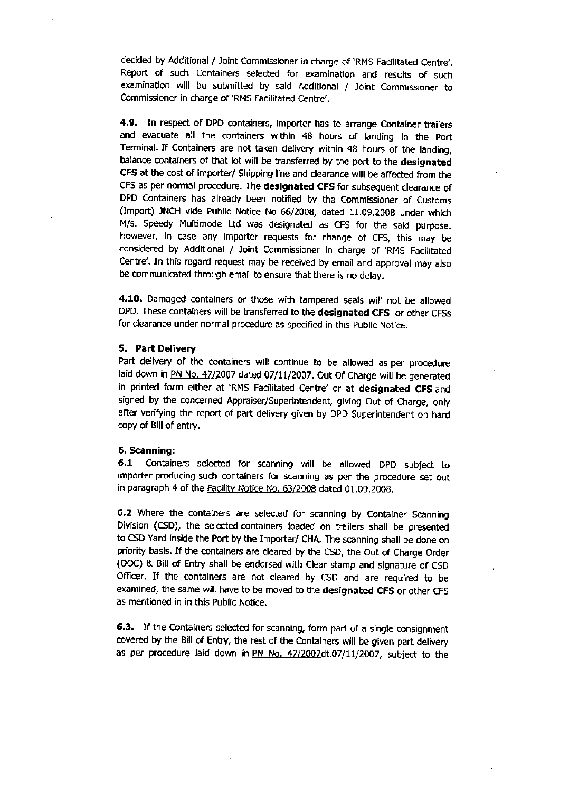decided by Additional / Joint Commissioner in charge of 'RMS Facilitated Centre'. Report of such Containers selected for examination and results of such examination will be submitted by said Additional / Joint Commissioner to Commissioner in charge of 'RMS Facilitated Centre'.

4.9. In respect of DPD containers, importer has to arrange Container trailers and evacuate all the containers within 48 hours of landing in the Port Terminal. If Containers are not taken delivery within 48 hours of the landing, balance containers of that lot will be transferred by the port to the designated CFS at the cost of importer/ Shipping line and clearance will be affected from the CFS as per normal procedure. The designated CFS for subsequent clearance of DPD Containers has already been notified by the Commissioner of Customs (Import) JNCH vide Public Notice No. 66/2008, dated 11.09.2008 under which M/s. Speedy Multimode Ltd was designated as CFS for the said purpose. However, in case any importer requests for change of CFS, this may be considered by Additional / Joint Commissioner in charge of 'RMS Facilitated Centre'. In this regard request may be received by email and approval may also be communicated through email to ensure that there is no delay.

4.10. Damaged containers or those with tampered seals will not be allowed DPD. These containers will be transferred to the designated CFS or other CFSs for clearance under normal procedure as specified in this Public Notice.

### 5. Part Delivery

Part delivery of the containers will continue to be allowed as per procedure laid down in PN No. 47/2007 dated 07/11/2007. Out Of Charge will be generated in printed form either at 'RMS Facilitated Centre' or at designated CFS and signed by the concerned Appraiser/Superintendent, giving Out of Charge, only after verifying the report of part delivery given by DPD Superintendent on hard copy of Bill of entry.

#### 6. Scanning:

6.1 Containers selected for scanning will be allowed DPD subject to importer producing such containers for scanning as per the procedure set out in paragraph 4 of the **Facility Notice No. 63/2008** dated 01.09.2008.

6.2 Where the containers are selected for scanning by Container Scanning Division (CSD), the selected containers loaded on trailers shall be presented to CSD Yard inside the Port by the Importer/ CHA. The scanning shall be done on priority basis. If the containers are cleared by the CSD, the Out of Charge Order (OOC) & Bill of Entry shall be endorsed with Clear stamp and signature of CSD Officer. If the containers are not cleared by CSD and are required to be examined, the same will have to be moved to the designated CFS or other CFS as mentioned in in this Public Notice.

6.3. If the Containers selected for scanning, form part of a single consignment covered by the Bill of Entry, the rest of the Containers will be given part delivery as per procedure laid down in PN No. 47/2007dt.07/11/2007, subject to the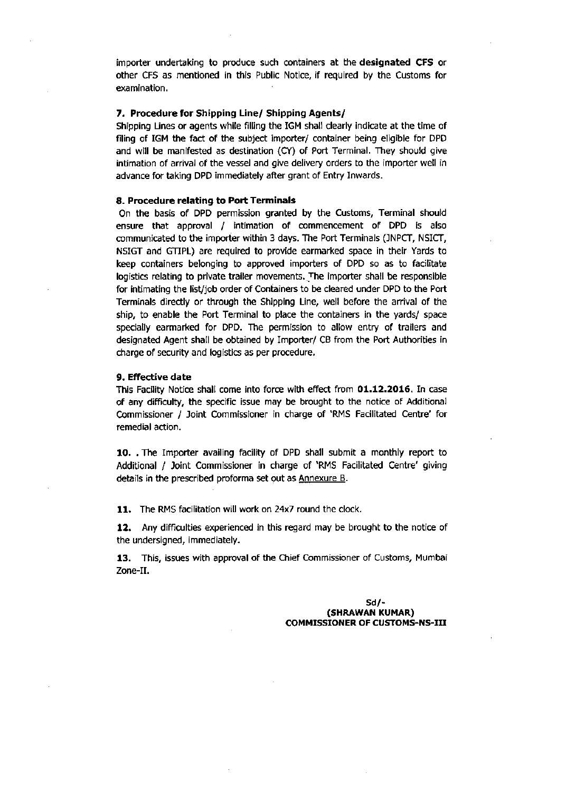importer undertaking to produce such containers at the designated CFS or other CFS as mentioned in this Public Notice, if required by the Customs for examination.

### 7. Procedure for Shipping Line/ Shipping Agents/

Shipping Lines or agents while filling the IGM shall clearly indicate at the time of filing of IGM the fact of the subject importer/ container being eligible for DPD and will be manifested as destination (CY) of Port Terminal. They should give intimation of arrival of the vessel and give delivery orders to the importer well in advance for taking DPD immediately after grant of Entry Inwards.

#### 8. Procedure relating to Port Terminals

On the basis of DPD permission granted by the Customs, Terminal should ensure that approval / intimation of commencement of DPD is also communicated to the importer within 3 days. The Port Terminals (JNPCT, NSICT, NSIGT and GTIPL) are required to provide earmarked space in their Yards to keep containers belonging to approved importers of DPD so as to facilitate logistics relating to private trailer movements. The importer shall be responsible for intimating the list/job order of Containers to be cleared under DPD to the Port Terminals directly or through the Shipping Line, well before the arrival of the ship, to enable the Port Terminal to place the containers in the yards/ space specially earmarked for DPD. The permission to allow entry of trailers and designated Agent shall be obtained by Importer/ CB from the Port Authorities in charge of security and logistics as per procedure.

### 9. Effective date

This Facility Notice shall come into force with effect from 01.12.2016. In case of any difficulty, the specific issue may be brought to the notice of Additional Commissioner / Joint Commissioner in charge of 'RMS Facilitated Centre' for remedial action.

10. The Importer availing facility of DPD shall submit a monthly report to Additional / Joint Commissioner in charge of 'RMS Facilitated Centre' giving details in the prescribed proforma set out as Annexure B.

11. The RMS facilitation will work on 24x7 round the clock.

12. Any difficulties experienced in this regard may be brought to the notice of the undersigned, immediately.

13. This, issues with approval of the Chief Commissioner of Customs, Mumbai Zone-II.

> $Sd/-$ (SHRAWAN KUMAR) **COMMISSIONER OF CUSTOMS-NS-III**